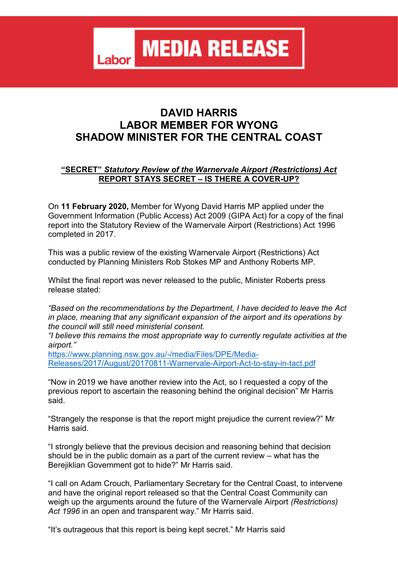**MEDIA RELEASE** Labor

## **DAVID HARRIS LABOR MEMBER FOR WYONG SHADOW MINISTER FOR THE CENTRAL COAST**

## **"SECRET"** *Statutory Review of the Warnervale Airport (Restrictions) Act* **REPORT STAYS SECRET – IS THERE A COVER-UP?**

On **11 February 2020,** Member for Wyong David Harris MP applied under the Government Information (Public Access) Act 2009 (GIPA Act) for a copy of the final report into the Statutory Review of the Warnervale Airport (Restrictions) Act 1996 completed in 2017.

This was a public review of the existing Warnervale Airport (Restrictions) Act conducted by Planning Ministers Rob Stokes MP and Anthony Roberts MP.

Whilst the final report was never released to the public, Minister Roberts press release stated:

*"Based on the recommendations by the Department, I have decided to leave the Act in place, meaning that any significant expansion of the airport and its operations by the council will still need ministerial consent.* 

*"I believe this remains the most appropriate way to currently regulate activities at the airport."*

[https://www.planning.nsw.gov.au/-/media/Files/DPE/Media-](https://www.planning.nsw.gov.au/-/media/Files/DPE/Media-Releases/2017/August/20170811-Warnervale-Airport-Act-to-stay-in-tact.pdf)[Releases/2017/August/20170811-Warnervale-Airport-Act-to-stay-in-tact.pdf](https://www.planning.nsw.gov.au/-/media/Files/DPE/Media-Releases/2017/August/20170811-Warnervale-Airport-Act-to-stay-in-tact.pdf)

"Now in 2019 we have another review into the Act, so I requested a copy of the previous report to ascertain the reasoning behind the original decision" Mr Harris said.

"Strangely the response is that the report might prejudice the current review?" Mr Harris said.

"I strongly believe that the previous decision and reasoning behind that decision should be in the public domain as a part of the current review – what has the Berejiklian Government got to hide?" Mr Harris said.

"I call on Adam Crouch, Parliamentary Secretary for the Central Coast, to intervene and have the original report released so that the Central Coast Community can weigh up the arguments around the future of the Warnervale Airport *(Restrictions) Act 1996* in an open and transparent way." Mr Harris said.

"It's outrageous that this report is being kept secret." Mr Harris said